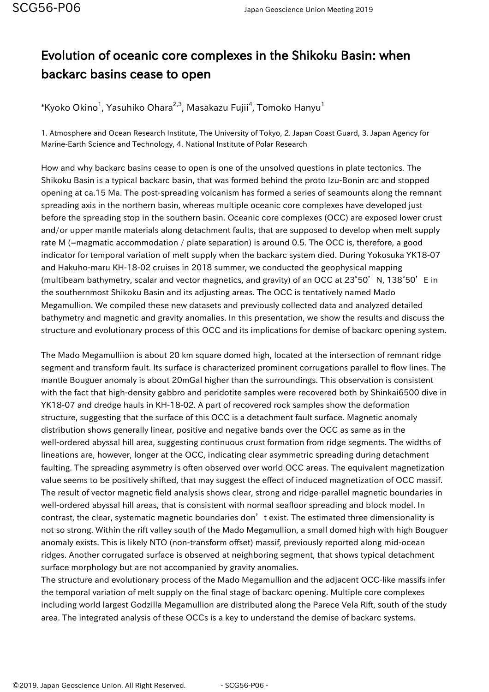## Evolution of oceanic core complexes in the Shikoku Basin: when backarc basins cease to open

 $^*$ Kyoko Okino $^1$ , Yasuhiko Ohara $^{2,3}$ , Masakazu Fujii $^4$ , Tomoko Hanyu $^1$ 

1. Atmosphere and Ocean Research Institute, The University of Tokyo, 2. Japan Coast Guard, 3. Japan Agency for Marine-Earth Science and Technology, 4. National Institute of Polar Research

How and why backarc basins cease to open is one of the unsolved questions in plate tectonics. The Shikoku Basin is a typical backarc basin, that was formed behind the proto Izu-Bonin arc and stopped opening at ca.15 Ma. The post-spreading volcanism has formed a series of seamounts along the remnant spreading axis in the northern basin, whereas multiple oceanic core complexes have developed just before the spreading stop in the southern basin. Oceanic core complexes (OCC) are exposed lower crust and/or upper mantle materials along detachment faults, that are supposed to develop when melt supply rate M (=magmatic accommodation / plate separation) is around 0.5. The OCC is, therefore, a good indicator for temporal variation of melt supply when the backarc system died. During Yokosuka YK18-07 and Hakuho-maru KH-18-02 cruises in 2018 summer, we conducted the geophysical mapping (multibeam bathymetry, scalar and vector magnetics, and gravity) of an OCC at 23°50' N, 138°50' E in the southernmost Shikoku Basin and its adjusting areas. The OCC is tentatively named Mado Megamullion. We compiled these new datasets and previously collected data and analyzed detailed bathymetry and magnetic and gravity anomalies. In this presentation, we show the results and discuss the structure and evolutionary process of this OCC and its implications for demise of backarc opening system.

The Mado Megamulliion is about 20 km square domed high, located at the intersection of remnant ridge segment and transform fault. Its surface is characterized prominent corrugations parallel to flow lines. The mantle Bouguer anomaly is about 20mGal higher than the surroundings. This observation is consistent with the fact that high-density gabbro and peridotite samples were recovered both by Shinkai6500 dive in YK18-07 and dredge hauls in KH-18-02. A part of recovered rock samples show the deformation structure, suggesting that the surface of this OCC is a detachment fault surface. Magnetic anomaly distribution shows generally linear, positive and negative bands over the OCC as same as in the well-ordered abyssal hill area, suggesting continuous crust formation from ridge segments. The widths of lineations are, however, longer at the OCC, indicating clear asymmetric spreading during detachment faulting. The spreading asymmetry is often observed over world OCC areas. The equivalent magnetization value seems to be positively shifted, that may suggest the effect of induced magnetization of OCC massif. The result of vector magnetic field analysis shows clear, strong and ridge-parallel magnetic boundaries in well-ordered abyssal hill areas, that is consistent with normal seafloor spreading and block model. In contrast, the clear, systematic magnetic boundaries don't exist. The estimated three dimensionality is not so strong. Within the rift valley south of the Mado Megamullion, a small domed high with high Bouguer anomaly exists. This is likely NTO (non-transform offset) massif, previously reported along mid-ocean ridges. Another corrugated surface is observed at neighboring segment, that shows typical detachment surface morphology but are not accompanied by gravity anomalies.

The structure and evolutionary process of the Mado Megamullion and the adjacent OCC-like massifs infer the temporal variation of melt supply on the final stage of backarc opening. Multiple core complexes including world largest Godzilla Megamullion are distributed along the Parece Vela Rift, south of the study area. The integrated analysis of these OCCs is a key to understand the demise of backarc systems.